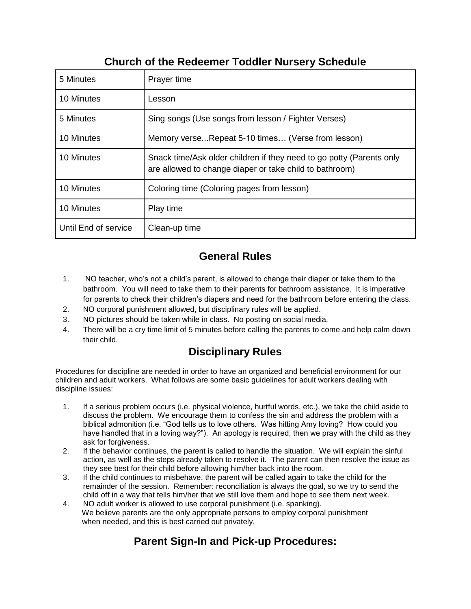## **Church of the Redeemer Toddler Nursery Schedule**

| 5 Minutes            | Prayer time                                                                                                                     |
|----------------------|---------------------------------------------------------------------------------------------------------------------------------|
| 10 Minutes           | Lesson                                                                                                                          |
| 5 Minutes            | Sing songs (Use songs from lesson / Fighter Verses)                                                                             |
| 10 Minutes           | Memory verseRepeat 5-10 times (Verse from lesson)                                                                               |
| 10 Minutes           | Snack time/Ask older children if they need to go potty (Parents only<br>are allowed to change diaper or take child to bathroom) |
| 10 Minutes           | Coloring time (Coloring pages from lesson)                                                                                      |
| 10 Minutes           | Play time                                                                                                                       |
| Until End of service | Clean-up time                                                                                                                   |

## **General Rules**

- 1. NO teacher, who's not a child's parent, is allowed to change their diaper or take them to the bathroom. You will need to take them to their parents for bathroom assistance. It is imperative for parents to check their children's diapers and need for the bathroom before entering the class.
- 2. NO corporal punishment allowed, but disciplinary rules will be applied.
- 3. NO pictures should be taken while in class. No posting on social media.
- 4. There will be a cry time limit of 5 minutes before calling the parents to come and help calm down their child.

# **Disciplinary Rules**

Procedures for discipline are needed in order to have an organized and beneficial environment for our children and adult workers. What follows are some basic guidelines for adult workers dealing with discipline issues:

- 1. If a serious problem occurs (i.e. physical violence, hurtful words, etc.), we take the child aside to discuss the problem. We encourage them to confess the sin and address the problem with a biblical admonition (i.e. "God tells us to love others. Was hitting Amy loving? How could you have handled that in a loving way?"). An apology is required; then we pray with the child as they ask for forgiveness.
- 2. If the behavior continues, the parent is called to handle the situation. We will explain the sinful action, as well as the steps already taken to resolve it. The parent can then resolve the issue as they see best for their child before allowing him/her back into the room.
- 3. If the child continues to misbehave, the parent will be called again to take the child for the remainder of the session. Remember: reconciliation is always the goal, so we try to send the child off in a way that tells him/her that we still love them and hope to see them next week.
- 4. NO adult worker is allowed to use corporal punishment (i.e. spanking). We believe parents are the only appropriate persons to employ corporal punishment when needed, and this is best carried out privately.

# **Parent Sign-In and Pick-up Procedures:**